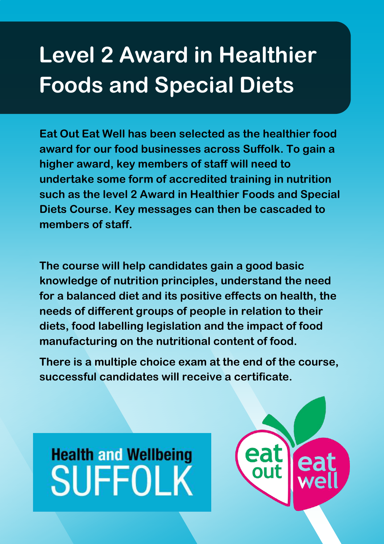### **Level 2 Award in Healthier Foods and Special Diets**

**Eat Out Eat Well has been selected as the healthier food award for our food businesses across Suffolk. To gain a higher award, key members of staff will need to undertake some form of accredited training in nutrition such as the level 2 Award in Healthier Foods and Special Diets Course. Key messages can then be cascaded to members of staff.** 

**The course will help candidates gain a good basic knowledge of nutrition principles, understand the need for a balanced diet and its positive effects on health, the needs of different groups of people in relation to their diets, food labelling legislation and the impact of food manufacturing on the nutritional content of food.** 

**There is a multiple choice exam at the end of the course, successful candidates will receive a certificate.**

# **Health and Wellbeing SUFFOLK**